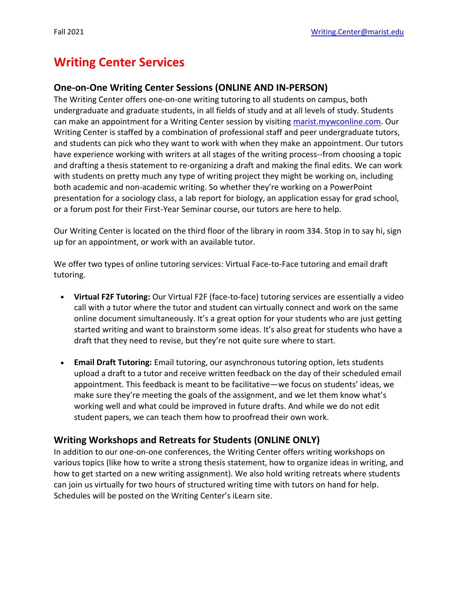# **Writing Center Services**

#### **One-on-One Writing Center Sessions (ONLINE AND IN-PERSON)**

The Writing Center offers one-on-one writing tutoring to all students on campus, both undergraduate and graduate students, in all fields of study and at all levels of study. Students can make an appointment for a Writing Center session by visiting [marist.mywconline.com.](http://marist.mywconline.com/) Our Writing Center is staffed by a combination of professional staff and peer undergraduate tutors, and students can pick who they want to work with when they make an appointment. Our tutors have experience working with writers at all stages of the writing process--from choosing a topic and drafting a thesis statement to re-organizing a draft and making the final edits. We can work with students on pretty much any type of writing project they might be working on, including both academic and non-academic writing. So whether they're working on a PowerPoint presentation for a sociology class, a lab report for biology, an application essay for grad school, or a forum post for their First-Year Seminar course, our tutors are here to help.

Our Writing Center is located on the third floor of the library in room 334. Stop in to say hi, sign up for an appointment, or work with an available tutor.

We offer two types of online tutoring services: Virtual Face-to-Face tutoring and email draft tutoring.

- **Virtual F2F Tutoring:** Our Virtual F2F (face-to-face) tutoring services are essentially a video call with a tutor where the tutor and student can virtually connect and work on the same online document simultaneously. It's a great option for your students who are just getting started writing and want to brainstorm some ideas. It's also great for students who have a draft that they need to revise, but they're not quite sure where to start.
- **Email Draft Tutoring:** Email tutoring, our asynchronous tutoring option, lets students upload a draft to a tutor and receive written feedback on the day of their scheduled email appointment. This feedback is meant to be facilitative—we focus on students' ideas, we make sure they're meeting the goals of the assignment, and we let them know what's working well and what could be improved in future drafts. And while we do not edit student papers, we can teach them how to proofread their own work.

#### **Writing Workshops and Retreats for Students (ONLINE ONLY)**

In addition to our one-on-one conferences, the Writing Center offers writing workshops on various topics (like how to write a strong thesis statement, how to organize ideas in writing, and how to get started on a new writing assignment). We also hold writing retreats where students can join us virtually for two hours of structured writing time with tutors on hand for help. Schedules will be posted on the Writing Center's iLearn site.